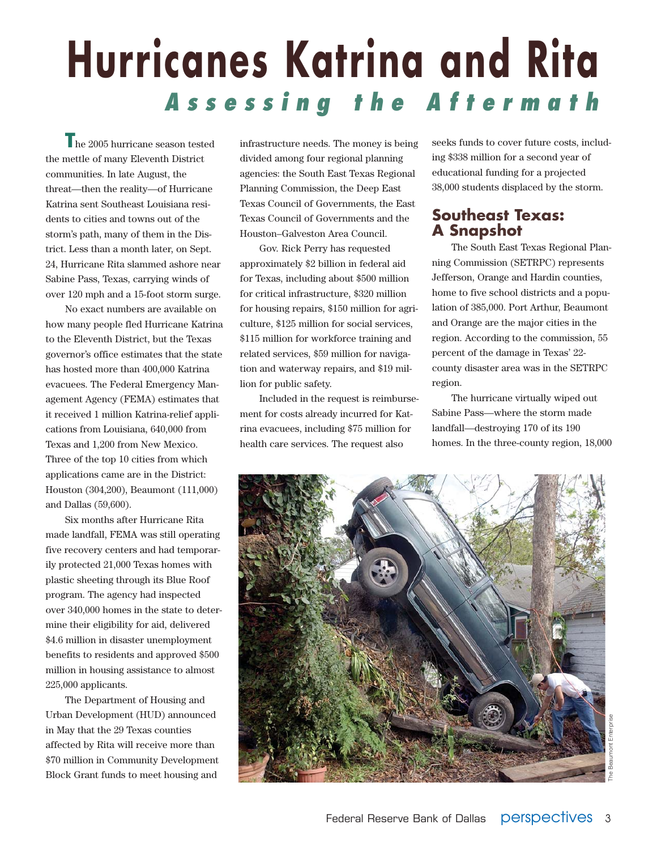# **Hurricanes Katrina and Rita Assessing the Aftermath**

**T**he 2005 hurricane season tested the mettle of many Eleventh District communities. In late August, the threat—then the reality—of Hurricane Katrina sent Southeast Louisiana residents to cities and towns out of the storm's path, many of them in the District. Less than a month later, on Sept. 24, Hurricane Rita slammed ashore near Sabine Pass, Texas, carrying winds of over 120 mph and a 15-foot storm surge.

No exact numbers are available on how many people fled Hurricane Katrina to the Eleventh District, but the Texas governor's office estimates that the state has hosted more than 400,000 Katrina evacuees. The Federal Emergency Management Agency (FEMA) estimates that it received 1 million Katrina-relief applications from Louisiana, 640,000 from Texas and 1,200 from New Mexico. Three of the top 10 cities from which applications came are in the District: Houston (304,200), Beaumont (111,000) and Dallas (59,600).

Six months after Hurricane Rita made landfall, FEMA was still operating five recovery centers and had temporarily protected 21,000 Texas homes with plastic sheeting through its Blue Roof program. The agency had inspected over 340,000 homes in the state to determine their eligibility for aid, delivered \$4.6 million in disaster unemployment benefits to residents and approved \$500 million in housing assistance to almost 225,000 applicants.

The Department of Housing and Urban Development (HUD) announced in May that the 29 Texas counties affected by Rita will receive more than \$70 million in Community Development Block Grant funds to meet housing and infrastructure needs. The money is being divided among four regional planning agencies: the South East Texas Regional Planning Commission, the Deep East Texas Council of Governments, the East Texas Council of Governments and the Houston–Galveston Area Council.

Gov. Rick Perry has requested approximately \$2 billion in federal aid for Texas, including about \$500 million for critical infrastructure, \$320 million for housing repairs, \$150 million for agriculture, \$125 million for social services, \$115 million for workforce training and related services, \$59 million for navigation and waterway repairs, and \$19 million for public safety.

Included in the request is reimbursement for costs already incurred for Katrina evacuees, including \$75 million for health care services. The request also

seeks funds to cover future costs, including \$338 million for a second year of educational funding for a projected 38,000 students displaced by the storm.

# **Southeast Texas: A Snapshot**

The South East Texas Regional Planning Commission (SETRPC) represents Jefferson, Orange and Hardin counties, home to five school districts and a population of 385,000. Port Arthur, Beaumont and Orange are the major cities in the region. According to the commission, 55 percent of the damage in Texas' 22 county disaster area was in the SETRPC region.

The hurricane virtually wiped out Sabine Pass—where the storm made landfall—destroying 170 of its 190 homes. In the three-county region, 18,000

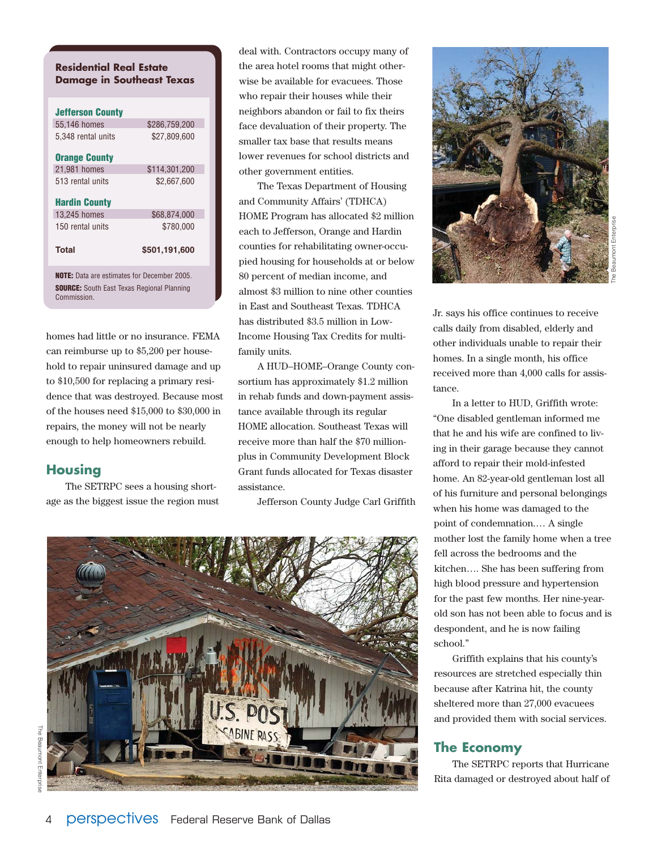#### **Residential Real Estate Damage in Southeast Texas**

| <b>Jefferson County</b>                                          |               |
|------------------------------------------------------------------|---------------|
| 55,146 homes                                                     | \$286,759,200 |
| 5.348 rental units                                               | \$27.809.600  |
| <b>Orange County</b>                                             |               |
| 21,981 homes                                                     | \$114,301,200 |
| 513 rental units                                                 | \$2,667,600   |
| <b>Hardin County</b>                                             |               |
| 13,245 homes                                                     | \$68,874,000  |
| 150 rental units                                                 | \$780.000     |
| Total                                                            | \$501,191,600 |
| <b>NOTE:</b> Data are estimates for December 2005.               |               |
| <b>SOURCE:</b> South East Texas Regional Planning<br>Commission. |               |

homes had little or no insurance. FEMA can reimburse up to \$5,200 per household to repair uninsured damage and up to \$10,500 for replacing a primary residence that was destroyed. Because most of the houses need \$15,000 to \$30,000 in repairs, the money will not be nearly enough to help homeowners rebuild.

#### **Housing**

The SETRPC sees a housing shortage as the biggest issue the region must deal with. Contractors occupy many of the area hotel rooms that might otherwise be available for evacuees. Those who repair their houses while their neighbors abandon or fail to fix theirs face devaluation of their property. The smaller tax base that results means lower revenues for school districts and other government entities.

The Texas Department of Housing and Community Affairs' (TDHCA) HOME Program has allocated \$2 million each to Jefferson, Orange and Hardin counties for rehabilitating owner-occupied housing for households at or below 80 percent of median income, and almost \$3 million to nine other counties in East and Southeast Texas. TDHCA has distributed \$3.5 million in Low-Income Housing Tax Credits for multifamily units.

A HUD–HOME–Orange County consortium has approximately \$1.2 million in rehab funds and down-payment assistance available through its regular HOME allocation. Southeast Texas will receive more than half the \$70 millionplus in Community Development Block Grant funds allocated for Texas disaster assistance.

Jefferson County Judge Carl Griffith





Jr. says his office continues to receive calls daily from disabled, elderly and other individuals unable to repair their homes. In a single month, his office received more than 4,000 calls for assistance.

In a letter to HUD, Griffith wrote: "One disabled gentleman informed me that he and his wife are confined to living in their garage because they cannot afford to repair their mold-infested home. An 82-year-old gentleman lost all of his furniture and personal belongings when his home was damaged to the point of condemnation.… A single mother lost the family home when a tree fell across the bedrooms and the kitchen…. She has been suffering from high blood pressure and hypertension for the past few months. Her nine-yearold son has not been able to focus and is despondent, and he is now failing school."

Griffith explains that his county's resources are stretched especially thin because after Katrina hit, the county sheltered more than 27,000 evacuees and provided them with social services.

#### **The Economy**

The SETRPC reports that Hurricane Rita damaged or destroyed about half of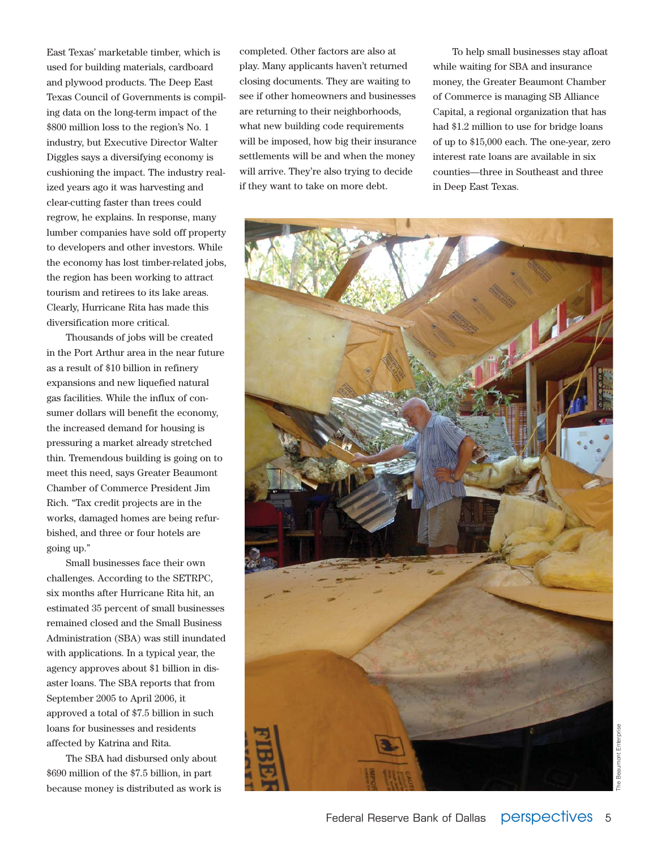East Texas' marketable timber, which is used for building materials, cardboard and plywood products. The Deep East Texas Council of Governments is compiling data on the long-term impact of the \$800 million loss to the region's No. 1 industry, but Executive Director Walter Diggles says a diversifying economy is cushioning the impact. The industry realized years ago it was harvesting and clear-cutting faster than trees could regrow, he explains. In response, many lumber companies have sold off property to developers and other investors. While the economy has lost timber-related jobs, the region has been working to attract tourism and retirees to its lake areas. Clearly, Hurricane Rita has made this diversification more critical.

Thousands of jobs will be created in the Port Arthur area in the near future as a result of \$10 billion in refinery expansions and new liquefied natural gas facilities. While the influx of consumer dollars will benefit the economy, the increased demand for housing is pressuring a market already stretched thin. Tremendous building is going on to meet this need, says Greater Beaumont Chamber of Commerce President Jim Rich. "Tax credit projects are in the works, damaged homes are being refurbished, and three or four hotels are going up."

Small businesses face their own challenges. According to the SETRPC, six months after Hurricane Rita hit, an estimated 35 percent of small businesses remained closed and the Small Business Administration (SBA) was still inundated with applications. In a typical year, the agency approves about \$1 billion in disaster loans. The SBA reports that from September 2005 to April 2006, it approved a total of \$7.5 billion in such loans for businesses and residents affected by Katrina and Rita.

The SBA had disbursed only about \$690 million of the \$7.5 billion, in part because money is distributed as work is completed. Other factors are also at play. Many applicants haven't returned closing documents. They are waiting to see if other homeowners and businesses are returning to their neighborhoods, what new building code requirements will be imposed, how big their insurance settlements will be and when the money will arrive. They're also trying to decide if they want to take on more debt.

To help small businesses stay afloat while waiting for SBA and insurance money, the Greater Beaumont Chamber of Commerce is managing SB Alliance Capital, a regional organization that has had \$1.2 million to use for bridge loans of up to \$15,000 each. The one-year, zero interest rate loans are available in six counties—three in Southeast and three in Deep East Texas.